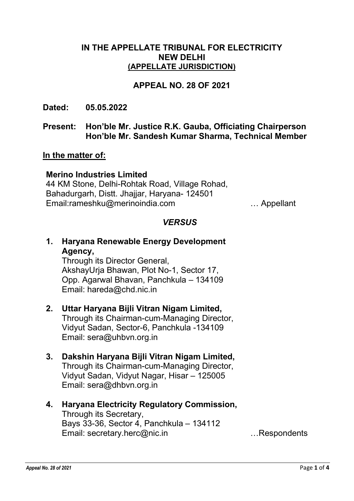### IN THE APPELLATE TRIBUNAL FOR ELECTRICITY NEW DELHI (APPELLATE JURISDICTION)

### APPEAL NO. 28 OF 2021

Dated: 05.05.2022

### Present: Hon'ble Mr. Justice R.K. Gauba, Officiating Chairperson Hon'ble Mr. Sandesh Kumar Sharma, Technical Member

### In the matter of:

### Merino Industries Limited

44 KM Stone, Delhi-Rohtak Road, Village Rohad, Bahadurgarh, Distt. Jhajjar, Haryana- 124501 Email:rameshku@merinoindia.com … Appellant

### **VERSUS**

## 1. Haryana Renewable Energy Development Agency,

Through its Director General, AkshayUrja Bhawan, Plot No-1, Sector 17, Opp. Agarwal Bhavan, Panchkula – 134109 Email: hareda@chd.nic.in

# 2. Uttar Haryana Bijli Vitran Nigam Limited,

Through its Chairman-cum-Managing Director, Vidyut Sadan, Sector-6, Panchkula -134109 Email: sera@uhbvn.org.in

## 3. Dakshin Haryana Bijli Vitran Nigam Limited,

Through its Chairman-cum-Managing Director, Vidyut Sadan, Vidyut Nagar, Hisar – 125005 Email: sera@dhbvn.org.in

#### 4. Haryana Electricity Regulatory Commission, Through its Secretary,

Bays 33-36, Sector 4, Panchkula – 134112 Email: secretary.herc@nic.in …Respondents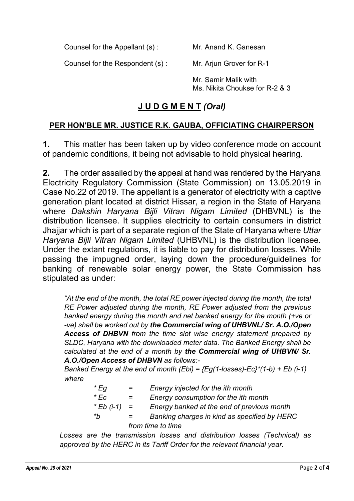Counsel for the Appellant (s) : Mr. Anand K. Ganesan

Counsel for the Respondent (s) : Mr. Arjun Grover for R-1

Mr. Samir Malik with Ms. Nikita Choukse for R-2 & 3

# J U D G M E N T (Oral)

## PER HON'BLE MR. JUSTICE R.K. GAUBA, OFFICIATING CHAIRPERSON

1. This matter has been taken up by video conference mode on account of pandemic conditions, it being not advisable to hold physical hearing.

2. The order assailed by the appeal at hand was rendered by the Haryana Electricity Regulatory Commission (State Commission) on 13.05.2019 in Case No.22 of 2019. The appellant is a generator of electricity with a captive generation plant located at district Hissar, a region in the State of Haryana where Dakshin Haryana Bijli Vitran Nigam Limited (DHBVNL) is the distribution licensee. It supplies electricity to certain consumers in district Jhajjar which is part of a separate region of the State of Haryana where Uttar Haryana Bijli Vitran Nigam Limited (UHBVNL) is the distribution licensee. Under the extant regulations, it is liable to pay for distribution losses. While passing the impugned order, laying down the procedure/guidelines for banking of renewable solar energy power, the State Commission has stipulated as under:

"At the end of the month, the total RE power injected during the month, the total RE Power adjusted during the month, RE Power adjusted from the previous banked energy during the month and net banked energy for the month (+ve or -ve) shall be worked out by the Commercial wing of UHBVNL/ Sr. A.O./Open Access of DHBVN from the time slot wise energy statement prepared by SLDC, Haryana with the downloaded meter data. The Banked Energy shall be calculated at the end of a month by the Commercial wing of UHBVN/ Sr. A.O./Open Access of DHBVN as follows:-

Banked Energy at the end of month (Ebi) =  ${Eq(1-\text{losses})-Ec}^*(1-b) + Eb$  (i-1) where

| * Eg           | $=$               | Energy injected for the ith month            |  |  |
|----------------|-------------------|----------------------------------------------|--|--|
| * Ec           | $=$               | Energy consumption for the ith month         |  |  |
| * Eb $(i-1) =$ |                   | Energy banked at the end of previous month   |  |  |
| *h             | $=$               | Banking charges in kind as specified by HERC |  |  |
|                | from time to time |                                              |  |  |

Losses are the transmission losses and distribution losses (Technical) as approved by the HERC in its Tariff Order for the relevant financial year.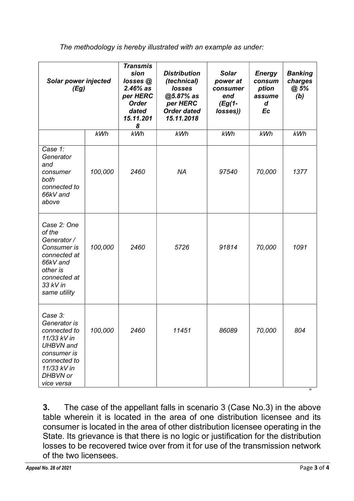The methodology is hereby illustrated with an example as under:

| <b>Solar power injected</b><br>(Eg)                                                                                                                |         | <b>Transmis</b><br>sion<br>losses@<br>$2.46%$ as<br>per HERC<br><b>Order</b><br>dated<br>15.11.201<br>8 | <b>Distribution</b><br>(technical)<br>losses<br>@5.87% as<br>per HERC<br><b>Order dated</b><br>15.11.2018 | <b>Solar</b><br>power at<br>consumer<br>end<br>$(Eg(1-$<br>losses)) | <b>Energy</b><br>consum<br>ption<br>assume<br>d<br>Ec | <b>Banking</b><br>charges<br>@ 5%<br>(b) |
|----------------------------------------------------------------------------------------------------------------------------------------------------|---------|---------------------------------------------------------------------------------------------------------|-----------------------------------------------------------------------------------------------------------|---------------------------------------------------------------------|-------------------------------------------------------|------------------------------------------|
|                                                                                                                                                    | kWh     | <b>kWh</b>                                                                                              | kWh                                                                                                       | kWh                                                                 | kWh                                                   | kWh                                      |
| Case 1:<br>Generator<br>and<br>consumer<br>both<br>connected to<br>66kV and<br>above                                                               | 100,000 | 2460                                                                                                    | <b>NA</b>                                                                                                 | 97540                                                               | 70,000                                                | 1377                                     |
| Case 2: One<br>of the<br>Generator /<br>Consumer is<br>connected at<br>66kV and<br>other is<br>connected at<br>33 kV in<br>same utility            | 100,000 | 2460                                                                                                    | 5726                                                                                                      | 91814                                                               | 70,000                                                | 1091                                     |
| Case 3:<br>Generator is<br>connected to<br>11/33 kV in<br><b>UHBVN</b> and<br>consumer is<br>connected to<br>11/33 kV in<br>DHBVN or<br>vice versa | 100,000 | 2460                                                                                                    | 11451                                                                                                     | 86089                                                               | 70,000                                                | 804                                      |

3. The case of the appellant falls in scenario 3 (Case No.3) in the above table wherein it is located in the area of one distribution licensee and its consumer is located in the area of other distribution licensee operating in the State. Its grievance is that there is no logic or justification for the distribution losses to be recovered twice over from it for use of the transmission network of the two licensees.

"